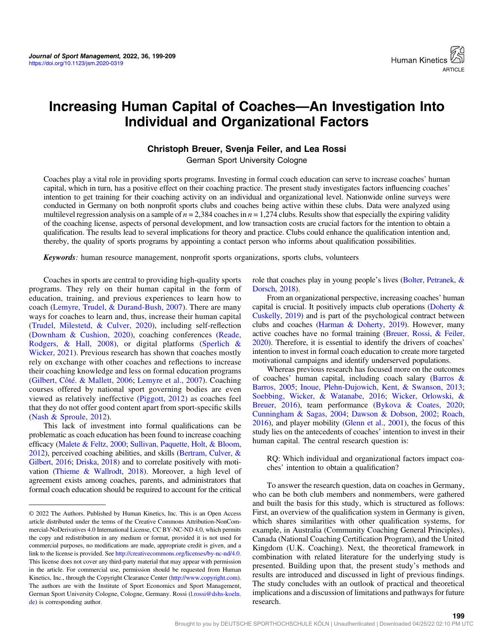

# Increasing Human Capital of Coaches—An Investigation Into Individual and Organizational Factors

# Christoph Breuer, Svenja Feiler, and Lea Rossi

German Sport University Cologne

Coaches play a vital role in providing sports programs. Investing in formal coach education can serve to increase coaches' human capital, which in turn, has a positive effect on their coaching practice. The present study investigates factors influencing coaches' intention to get training for their coaching activity on an individual and organizational level. Nationwide online surveys were conducted in Germany on both nonprofit sports clubs and coaches being active within these clubs. Data were analyzed using multilevel regression analysis on a sample of  $n = 2,384$  coaches in  $n = 1,274$  clubs. Results show that especially the expiring validity of the coaching license, aspects of personal development, and low transaction costs are crucial factors for the intention to obtain a qualification. The results lead to several implications for theory and practice. Clubs could enhance the qualification intention and, thereby, the quality of sports programs by appointing a contact person who informs about qualification possibilities.

Keywords: human resource management, nonprofit sports organizations, sports clubs, volunteers

Coaches in sports are central to providing high-quality sports programs. They rely on their human capital in the form of education, training, and previous experiences to learn how to coach ([Lemyre, Trudel, & Durand-Bush, 2007](#page-9-0)). There are many ways for coaches to learn and, thus, increase their human capital [\(Trudel, Milestetd, & Culver, 2020](#page-10-0)), including self-reflection [\(Downham & Cushion, 2020\)](#page-9-0), coaching conferences [\(Reade,](#page-10-0) [Rodgers, & Hall, 2008](#page-10-0)), or digital platforms ([Sperlich &](#page-10-0) [Wicker, 2021](#page-10-0)). Previous research has shown that coaches mostly rely on exchange with other coaches and reflections to increase their coaching knowledge and less on formal education programs [\(Gilbert, Côté. & Mallett, 2006;](#page-9-0) [Lemyre et al., 2007](#page-9-0)). Coaching courses offered by national sport governing bodies are even viewed as relatively ineffective [\(Piggott, 2012](#page-10-0)) as coaches feel that they do not offer good content apart from sport-specific skills [\(Nash & Sproule, 2012](#page-10-0)).

This lack of investment into formal qualifications can be problematic as coach education has been found to increase coaching efficacy [\(Malete & Feltz, 2000](#page-10-0); [Sullivan, Paquette, Holt, & Bloom,](#page-10-0) [2012\)](#page-10-0), perceived coaching abilities, and skills [\(Bertram, Culver, &](#page-9-0) [Gilbert, 2016](#page-9-0); [Driska, 2018](#page-9-0)) and to correlate positively with motivation ([Thieme & Wallrodt, 2018](#page-10-0)). Moreover, a high level of agreement exists among coaches, parents, and administrators that formal coach education should be required to account for the critical role that coaches play in young people's lives ([Bolter, Petranek, &](#page-9-0) [Dorsch, 2018](#page-9-0)).

From an organizational perspective, increasing coaches' human capital is crucial. It positively impacts club operations [\(Doherty &](#page-9-0) [Cuskelly, 2019\)](#page-9-0) and is part of the psychological contract between clubs and coaches [\(Harman & Doherty, 2019](#page-9-0)). However, many active coaches have no formal training [\(Breuer, Rossi, & Feiler,](#page-9-0) [2020\)](#page-9-0). Therefore, it is essential to identify the drivers of coaches' intention to invest in formal coach education to create more targeted motivational campaigns and identify underserved populations.

Whereas previous research has focused more on the outcomes of coaches' human capital, including coach salary ([Barros &](#page-9-0) [Barros, 2005;](#page-9-0) [Inoue, Plehn-Dujowich, Kent, & Swanson, 2013](#page-9-0); [Soebbing, Wicker, & Watanabe, 2016](#page-10-0); [Wicker, Orlowski, &](#page-10-0) [Breuer, 2016\)](#page-10-0), team performance ([Bykova & Coates, 2020](#page-9-0); [Cunningham & Sagas, 2004](#page-9-0); [Dawson & Dobson, 2002](#page-9-0); [Roach,](#page-10-0) [2016](#page-10-0)), and player mobility ([Glenn et al., 2001](#page-9-0)), the focus of this study lies on the antecedents of coaches' intention to invest in their human capital. The central research question is:

RQ: Which individual and organizational factors impact coaches' intention to obtain a qualification?

To answer the research question, data on coaches in Germany, who can be both club members and nonmembers, were gathered and built the basis for this study, which is structured as follows: First, an overview of the qualification system in Germany is given, which shares similarities with other qualification systems, for example, in Australia (Community Coaching General Principles), Canada (National Coaching Certification Program), and the United Kingdom (U.K. Coaching). Next, the theoretical framework in combination with related literature for the underlying study is presented. Building upon that, the present study's methods and results are introduced and discussed in light of previous findings. The study concludes with an outlook of practical and theoretical implications and a discussion of limitations and pathways for future research.

199

<sup>© 2022</sup> The Authors. Published by Human Kinetics, Inc. This is an Open Access article distributed under the terms of the Creative Commons Attribution-NonCommercial-NoDerivatives 4.0 International License, CC BY-NC-ND 4.0, which permits the copy and redistribution in any medium or format, provided it is not used for commercial purposes, no modifications are made, appropriate credit is given, and a link to the license is provided. See <http://creativecommons.org/licenses/by-nc-nd/4.0>. This license does not cover any third-party material that may appear with permission in the article. For commercial use, permission should be requested from Human Kinetics, Inc., through the Copyright Clearance Center [\(http://www.copyright.com\)](http://www.copyright.com). The authors are with the Institute of Sport Economics and Sport Management, German Sport University Cologne, Cologne, Germany. Rossi [\(l.rossi@dshs-koeln.](mailto:l.rossi@dshs-koeln.de) [de](mailto:l.rossi@dshs-koeln.de)) is corresponding author.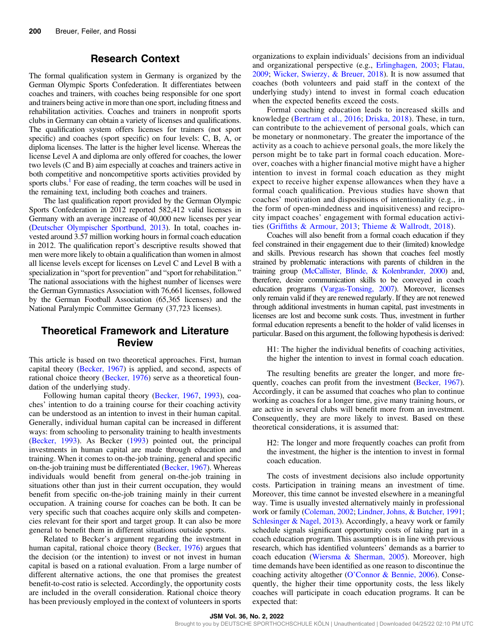# Research Context

The formal qualification system in Germany is organized by the German Olympic Sports Confederation. It differentiates between coaches and trainers, with coaches being responsible for one sport and trainers being active in more than one sport, including fitness and rehabilitation activities. Coaches and trainers in nonprofit sports clubs in Germany can obtain a variety of licenses and qualifications. The qualification system offers licenses for trainers (not sport specific) and coaches (sport specific) on four levels: C, B, A, or diploma licenses. The latter is the higher level license. Whereas the license Level A and diploma are only offered for coaches, the lower two levels (C and B) aim especially at coaches and trainers active in both competitive and noncompetitive sports activities provided by sports clubs.<sup>[1](#page-8-0)</sup> For ease of reading, the term coaches will be used in the remaining text, including both coaches and trainers.

The last qualification report provided by the German Olympic Sports Confederation in 2012 reported 582,412 valid licenses in Germany with an average increase of 40,000 new licenses per year [\(Deutscher Olympischer Sportbund, 2013](#page-9-0)). In total, coaches invested around 3.57 million working hours in formal coach education in 2012. The qualification report's descriptive results showed that men were more likely to obtain a qualification than women in almost all license levels except for licenses on Level C and Level B with a specialization in "sport for prevention" and "sport for rehabilitation." The national associations with the highest number of licenses were the German Gymnastics Association with 76,661 licenses, followed by the German Football Association (65,365 licenses) and the National Paralympic Committee Germany (37,723 licenses).

# Theoretical Framework and Literature Review

This article is based on two theoretical approaches. First, human capital theory ([Becker, 1967](#page-9-0)) is applied, and second, aspects of rational choice theory ([Becker, 1976\)](#page-9-0) serve as a theoretical foundation of the underlying study.

Following human capital theory ([Becker, 1967](#page-9-0), [1993\)](#page-9-0), coaches' intention to do a training course for their coaching activity can be understood as an intention to invest in their human capital. Generally, individual human capital can be increased in different ways: from schooling to personality training to health investments [\(Becker, 1993\)](#page-9-0). As Becker ([1993\)](#page-9-0) pointed out, the principal investments in human capital are made through education and training. When it comes to on-the-job training, general and specific on-the-job training must be differentiated ([Becker, 1967](#page-9-0)). Whereas individuals would benefit from general on-the-job training in situations other than just in their current occupation, they would benefit from specific on-the-job training mainly in their current occupation. A training course for coaches can be both. It can be very specific such that coaches acquire only skills and competencies relevant for their sport and target group. It can also be more general to benefit them in different situations outside sports.

Related to Becker's argument regarding the investment in human capital, rational choice theory ([Becker, 1976](#page-9-0)) argues that the decision (or the intention) to invest or not invest in human capital is based on a rational evaluation. From a large number of different alternative actions, the one that promises the greatest benefit-to-cost ratio is selected. Accordingly, the opportunity costs are included in the overall consideration. Rational choice theory has been previously employed in the context of volunteers in sports organizations to explain individuals' decisions from an individual and organizational perspective (e.g., [Erlinghagen, 2003;](#page-9-0) [Flatau,](#page-9-0) [2009](#page-9-0); [Wicker, Swierzy, & Breuer, 2018](#page-10-0)). It is now assumed that coaches (both volunteers and paid staff in the context of the underlying study) intend to invest in formal coach education when the expected benefits exceed the costs.

Formal coaching education leads to increased skills and knowledge ([Bertram et al., 2016;](#page-9-0) [Driska, 2018](#page-9-0)). These, in turn, can contribute to the achievement of personal goals, which can be monetary or nonmonetary. The greater the importance of the activity as a coach to achieve personal goals, the more likely the person might be to take part in formal coach education. Moreover, coaches with a higher financial motive might have a higher intention to invest in formal coach education as they might expect to receive higher expense allowances when they have a formal coach qualification. Previous studies have shown that coaches' motivation and dispositions of intentionality (e.g., in the form of open-mindedness and inquisitiveness) and reciprocity impact coaches' engagement with formal education activities (Griffi[ths & Armour, 2013](#page-9-0); [Thieme & Wallrodt, 2018\)](#page-10-0).

Coaches will also benefit from a formal coach education if they feel constrained in their engagement due to their (limited) knowledge and skills. Previous research has shown that coaches feel mostly strained by problematic interactions with parents of children in the training group [\(McCallister, Blinde, & Kolenbrander, 2000\)](#page-10-0) and, therefore, desire communication skills to be conveyed in coach education programs ([Vargas-Tonsing, 2007\)](#page-10-0). Moreover, licenses only remain valid if they are renewed regularly. If they are not renewed through additional investments in human capital, past investments in licenses are lost and become sunk costs. Thus, investment in further formal education represents a benefit to the holder of valid licenses in particular. Based on this argument, the following hypothesis is derived:

H1: The higher the individual benefits of coaching activities, the higher the intention to invest in formal coach education.

The resulting benefits are greater the longer, and more frequently, coaches can profit from the investment ([Becker, 1967](#page-9-0)). Accordingly, it can be assumed that coaches who plan to continue working as coaches for a longer time, give many training hours, or are active in several clubs will benefit more from an investment. Consequently, they are more likely to invest. Based on these theoretical considerations, it is assumed that:

H2: The longer and more frequently coaches can profit from the investment, the higher is the intention to invest in formal coach education.

The costs of investment decisions also include opportunity costs. Participation in training means an investment of time. Moreover, this time cannot be invested elsewhere in a meaningful way. Time is usually invested alternatively mainly in professional work or family ([Coleman, 2002](#page-9-0); [Lindner, Johns, & Butcher, 1991](#page-9-0); [Schlesinger & Nagel, 2013\)](#page-10-0). Accordingly, a heavy work or family schedule signals significant opportunity costs of taking part in a coach education program. This assumption is in line with previous research, which has identified volunteers' demands as a barrier to coach education [\(Wiersma & Sherman, 2005\)](#page-10-0). Moreover, high time demands have been identified as one reason to discontinue the coaching activity altogether (O'[Connor & Bennie, 2006\)](#page-10-0). Consequently, the higher their time opportunity costs, the less likely coaches will participate in coach education programs. It can be expected that: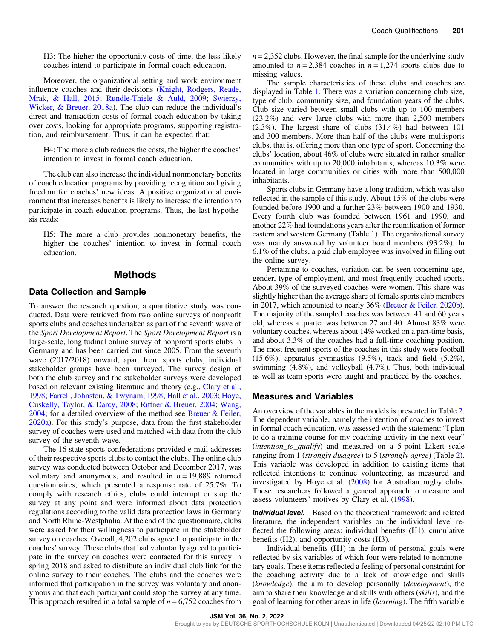H3: The higher the opportunity costs of time, the less likely coaches intend to participate in formal coach education.

Moreover, the organizational setting and work environment influence coaches and their decisions [\(Knight, Rodgers, Reade,](#page-9-0) [Mrak, & Hall, 2015;](#page-9-0) [Rundle-Thiele & Auld, 2009;](#page-10-0) [Swierzy,](#page-10-0) [Wicker, & Breuer, 2018a\)](#page-10-0). The club can reduce the individual's direct and transaction costs of formal coach education by taking over costs, looking for appropriate programs, supporting registration, and reimbursement. Thus, it can be expected that:

H4: The more a club reduces the costs, the higher the coaches' intention to invest in formal coach education.

The club can also increase the individual nonmonetary benefits of coach education programs by providing recognition and giving freedom for coaches' new ideas. A positive organizational environment that increases benefits is likely to increase the intention to participate in coach education programs. Thus, the last hypothesis reads:

H5: The more a club provides nonmonetary benefits, the higher the coaches' intention to invest in formal coach education.

### Methods

#### Data Collection and Sample

To answer the research question, a quantitative study was conducted. Data were retrieved from two online surveys of nonprofit sports clubs and coaches undertaken as part of the seventh wave of the Sport Development Report. The Sport Development Report is a large-scale, longitudinal online survey of nonprofit sports clubs in Germany and has been carried out since 2005. From the seventh wave (2017/2018) onward, apart from sports clubs, individual stakeholder groups have been surveyed. The survey design of both the club survey and the stakeholder surveys were developed based on relevant existing literature and theory (e.g., [Clary et al.,](#page-9-0) [1998](#page-9-0); [Farrell, Johnston, & Twynam, 1998](#page-10-0); [Hall et al., 2003;](#page-9-0) [Hoye,](#page-9-0) [Cuskelly, Taylor, & Darcy, 2008;](#page-9-0) [Rittner & Breuer, 2004](#page-10-0); [Wang,](#page-10-0) [2004](#page-10-0); for a detailed overview of the method see [Breuer & Feiler,](#page-9-0) [2020a](#page-9-0)). For this study's purpose, data from the first stakeholder survey of coaches were used and matched with data from the club survey of the seventh wave.

The 16 state sports confederations provided e-mail addresses of their respective sports clubs to contact the clubs. The online club survey was conducted between October and December 2017, was voluntary and anonymous, and resulted in  $n = 19,889$  returned questionnaires, which presented a response rate of 25.7%. To comply with research ethics, clubs could interrupt or stop the survey at any point and were informed about data protection regulations according to the valid data protection laws in Germany and North Rhine-Westphalia. At the end of the questionnaire, clubs were asked for their willingness to participate in the stakeholder survey on coaches. Overall, 4,202 clubs agreed to participate in the coaches' survey. These clubs that had voluntarily agreed to participate in the survey on coaches were contacted for this survey in spring 2018 and asked to distribute an individual club link for the online survey to their coaches. The clubs and the coaches were informed that participation in the survey was voluntary and anonymous and that each participant could stop the survey at any time. This approach resulted in a total sample of  $n = 6,752$  coaches from  $n = 2,352$  clubs. However, the final sample for the underlying study amounted to  $n = 2,384$  coaches in  $n = 1,274$  sports clubs due to missing values.

The sample characteristics of these clubs and coaches are displayed in Table [1](#page-3-0). There was a variation concerning club size, type of club, community size, and foundation years of the clubs. Club size varied between small clubs with up to 100 members (23.2%) and very large clubs with more than 2,500 members (2.3%). The largest share of clubs (31.4%) had between 101 and 300 members. More than half of the clubs were multisports clubs, that is, offering more than one type of sport. Concerning the clubs' location, about 46% of clubs were situated in rather smaller communities with up to 20,000 inhabitants, whereas 10.3% were located in large communities or cities with more than 500,000 inhabitants.

Sports clubs in Germany have a long tradition, which was also reflected in the sample of this study. About 15% of the clubs were founded before 1900 and a further 23% between 1900 and 1930. Every fourth club was founded between 1961 and 1990, and another 22% had foundations years after the reunification of former eastern and western Germany (Table [1\)](#page-3-0). The organizational survey was mainly answered by volunteer board members (93.2%). In 6.1% of the clubs, a paid club employee was involved in filling out the online survey.

Pertaining to coaches, variation can be seen concerning age, gender, type of employment, and most frequently coached sports. About 39% of the surveyed coaches were women. This share was slightly higher than the average share of female sports club members in 2017, which amounted to nearly 36% [\(Breuer & Feiler, 2020b](#page-9-0)). The majority of the sampled coaches was between 41 and 60 years old, whereas a quarter was between 27 and 40. Almost 83% were voluntary coaches, whereas about 14% worked on a part-time basis, and about 3.3% of the coaches had a full-time coaching position. The most frequent sports of the coaches in this study were football  $(15.6\%)$ , apparatus gymnastics  $(9.5\%)$ , track and field  $(5.2\%)$ , swimming (4.8%), and volleyball (4.7%). Thus, both individual as well as team sports were taught and practiced by the coaches.

#### Measures and Variables

An overview of the variables in the models is presented in Table [2.](#page-4-0) The dependent variable, namely the intention of coaches to invest in formal coach education, was assessed with the statement: "I plan to do a training course for my coaching activity in the next year" (*intention to qualify*) and measured on a 5-point Likert scale ranging from 1 (strongly disagree) to 5 (strongly agree) (Table [2](#page-4-0)). This variable was developed in addition to existing items that reflected intentions to continue volunteering, as measured and investigated by Hoye et al. [\(2008](#page-9-0)) for Australian rugby clubs. These researchers followed a general approach to measure and assess volunteers' motives by Clary et al. [\(1998](#page-9-0)).

Individual level. Based on the theoretical framework and related literature, the independent variables on the individual level reflected the following areas: individual benefits (H1), cumulative benefits (H2), and opportunity costs (H3).

Individual benefits (H1) in the form of personal goals were reflected by six variables of which four were related to nonmonetary goals. These items reflected a feeling of personal constraint for the coaching activity due to a lack of knowledge and skills (knowledge), the aim to develop personally (development), the aim to share their knowledge and skills with others (skills), and the goal of learning for other areas in life (learning). The fifth variable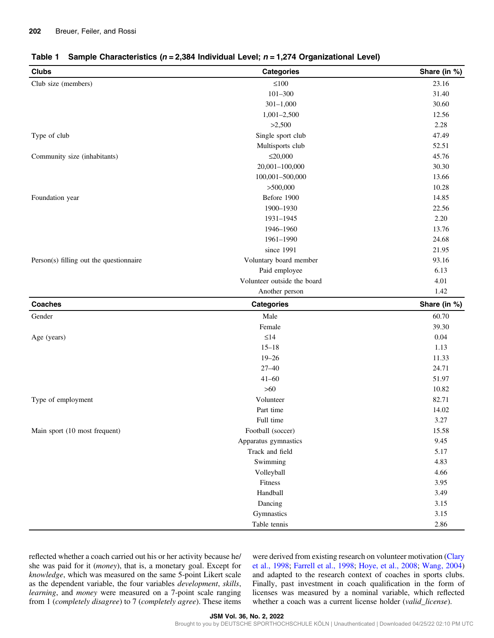<span id="page-3-0"></span>

| <b>Clubs</b>                            | <b>Categories</b>           | Share (in %) |
|-----------------------------------------|-----------------------------|--------------|
| Club size (members)                     | $\leq 100$                  | 23.16        |
|                                         | $101 - 300$                 | 31.40        |
|                                         | $301 - 1,000$               | 30.60        |
|                                         | $1,001-2,500$               | 12.56        |
|                                         | >2,500                      | 2.28         |
| Type of club                            | Single sport club           | 47.49        |
|                                         | Multisports club            | 52.51        |
| Community size (inhabitants)            | $\leq 20,000$               | 45.76        |
|                                         | 20,001-100,000              | 30.30        |
|                                         | 100,001-500,000             | 13.66        |
|                                         | >500,000                    | 10.28        |
| Foundation year                         | Before 1900                 | 14.85        |
|                                         | 1900-1930                   | 22.56        |
|                                         | 1931-1945                   | 2.20         |
|                                         | 1946-1960                   | 13.76        |
|                                         | 1961-1990                   | 24.68        |
|                                         | since 1991                  | 21.95        |
| Person(s) filling out the questionnaire | Voluntary board member      | 93.16        |
|                                         | Paid employee               | 6.13         |
|                                         | Volunteer outside the board | 4.01         |
|                                         | Another person              | 1.42         |
| <b>Coaches</b>                          | <b>Categories</b>           | Share (in %) |
| Gender                                  | Male                        | 60.70        |
|                                         | Female                      | 39.30        |
| Age (years)                             | $\leq$ 14                   | 0.04         |
|                                         | $15 - 18$                   | 1.13         |
|                                         | $19 - 26$                   | 11.33        |
|                                         | $27 - 40$                   | 24.71        |
|                                         | $41 - 60$                   | 51.97        |
|                                         | $>60$                       | 10.82        |
| Type of employment                      | Volunteer                   | 82.71        |
|                                         | Part time                   | 14.02        |
|                                         | Full time                   | 3.27         |
| Main sport (10 most frequent)           | Football (soccer)           | 15.58        |
|                                         | Apparatus gymnastics        | 9.45         |
|                                         | Track and field             | 5.17         |
|                                         | Swimming                    | 4.83         |
|                                         | Volleyball                  | 4.66         |
|                                         | Fitness                     | 3.95         |
|                                         | Handball                    | 3.49         |
|                                         | Dancing                     | 3.15         |
|                                         | Gymnastics                  | 3.15         |
|                                         |                             |              |

reflected whether a coach carried out his or her activity because he/ she was paid for it (money), that is, a monetary goal. Except for knowledge, which was measured on the same 5-point Likert scale as the dependent variable, the four variables development, skills, learning, and money were measured on a 7-point scale ranging from 1 (completely disagree) to 7 (completely agree). These items were derived from existing research on volunteer motivation ([Clary](#page-9-0) [et al., 1998](#page-9-0); [Farrell et al., 1998](#page-9-0); [Hoye, et al., 2008](#page-9-0); [Wang, 2004\)](#page-10-0) and adapted to the research context of coaches in sports clubs. Finally, past investment in coach qualification in the form of licenses was measured by a nominal variable, which reflected whether a coach was a current license holder (valid\_license).

JSM Vol. 36, No. 2, 2022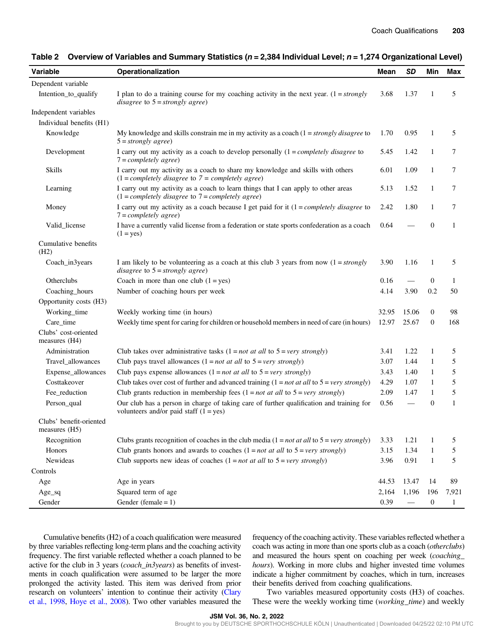| Variable                                   | Operationalization                                                                                                                        | Mean  | <b>SD</b>       | Min              | <b>Max</b>   |
|--------------------------------------------|-------------------------------------------------------------------------------------------------------------------------------------------|-------|-----------------|------------------|--------------|
| Dependent variable                         |                                                                                                                                           |       |                 |                  |              |
| Intention_to_qualify                       | I plan to do a training course for my coaching activity in the next year. $(1 = strongly$<br>disagree to $5 =$ strongly agree)            | 3.68  | 1.37            | 1                | 5            |
| Independent variables                      |                                                                                                                                           |       |                 |                  |              |
| Individual benefits (H1)                   |                                                                                                                                           |       |                 |                  |              |
| Knowledge                                  | My knowledge and skills constrain me in my activity as a coach $(1 = strongly \, disagree \, to \,$<br>$5 = strongly agree)$              | 1.70  | 0.95            | 1                | 5            |
| Development                                | I carry out my activity as a coach to develop personally $(1 = completely \; disagree \; to$<br>$7 = completely \ agree)$                 | 5.45  | 1.42            | $\mathbf{1}$     | $\tau$       |
| <b>Skills</b>                              | I carry out my activity as a coach to share my knowledge and skills with others<br>$(1 = completely disagree to 7 = completely agree)$    | 6.01  | 1.09            | $\mathbf{1}$     | 7            |
| Learning                                   | I carry out my activity as a coach to learn things that I can apply to other areas<br>$(1 = completely disagree to 7 = completely agree)$ | 5.13  | 1.52            | $\mathbf{1}$     | $\tau$       |
| Money                                      | I carry out my activity as a coach because I get paid for it $(1 = completely \ disagree$ to<br>$7 = completely \ agree)$                 | 2.42  | 1.80            | 1                | 7            |
| Valid_license                              | I have a currently valid license from a federation or state sports confederation as a coach<br>$(1 = yes)$                                | 0.64  |                 | $\mathbf{0}$     | $\mathbf{1}$ |
| Cumulative benefits<br>(H2)                |                                                                                                                                           |       |                 |                  |              |
| Coach_in3years                             | I am likely to be volunteering as a coach at this club 3 years from now $(1 = strongly)$<br>disagree to $5 =$ strongly agree)             | 3.90  | 1.16            | 1                | 5            |
| Otherclubs                                 | Coach in more than one club $(1 = yes)$                                                                                                   | 0.16  |                 | $\theta$         | 1            |
| Coaching_hours                             | Number of coaching hours per week                                                                                                         | 4.14  | 3.90            | 0.2              | 50           |
| Opportunity costs (H3)                     |                                                                                                                                           |       |                 |                  |              |
| Working_time                               | Weekly working time (in hours)                                                                                                            | 32.95 | 15.06           | $\boldsymbol{0}$ | 98           |
| Care_time                                  | Weekly time spent for caring for children or household members in need of care (in hours)                                                 | 12.97 | 25.67           | $\boldsymbol{0}$ | 168          |
| Clubs' cost-oriented<br>measures (H4)      |                                                                                                                                           |       |                 |                  |              |
| Administration                             | Club takes over administrative tasks $(1 = not at all to 5 = very \ strongly)$                                                            | 3.41  | 1.22            | 1                | 5            |
| Travel_allowances                          | Club pays travel allowances $(1 = not at all to 5 = very strongly)$                                                                       | 3.07  | 1.44            | $\mathbf{1}$     | 5            |
| Expense_allowances                         | Club pays expense allowances $(1 = not at all to 5 = very strongly)$                                                                      | 3.43  | 1.40            | 1                | 5            |
| Costtakeover                               | Club takes over cost of further and advanced training $(1 = not at all to 5 = very \ strongly)$                                           | 4.29  | 1.07            | 1                | 5            |
| Fee_reduction                              | Club grants reduction in membership fees $(1 = not at all to 5 = very \ strongly)$                                                        | 2.09  | 1.47            | 1                | 5            |
| Person_qual                                | Our club has a person in charge of taking care of further qualification and training for<br>volunteers and/or paid staff $(1 = yes)$      | 0.56  | $\qquad \qquad$ | $\boldsymbol{0}$ | 1            |
| Clubs' benefit-oriented<br>measures $(H5)$ |                                                                                                                                           |       |                 |                  |              |
| Recognition                                | Clubs grants recognition of coaches in the club media $(1 = not at all to 5 = very \, strongly)$                                          | 3.33  | 1.21            | 1                | 5            |
| Honors                                     | Club grants honors and awards to coaches $(1 = not at all to 5 = very strongly)$                                                          | 3.15  | 1.34            | $\mathbf{1}$     | 5            |
| Newideas                                   | Club supports new ideas of coaches $(1 = not at all to 5 = very strongly)$                                                                | 3.96  | 0.91            | $\mathbf{1}$     | 5            |
| Controls                                   |                                                                                                                                           |       |                 |                  |              |
| Age                                        | Age in years                                                                                                                              | 44.53 | 13.47           | 14               | 89           |
| $Age\_sq$                                  | Squared term of age                                                                                                                       | 2,164 | 1,196           | 196              | 7,921        |
| Gender                                     | Gender (female = $1$ )                                                                                                                    | 0.39  |                 | $\mathbf{0}$     | $\mathbf{1}$ |

#### <span id="page-4-0"></span>Table 2 Overview of Variables and Summary Statistics ( $n = 2,384$  Individual Level;  $n = 1,274$  Organizational Level)

Cumulative benefits (H2) of a coach qualification were measured by three variables reflecting long-term plans and the coaching activity frequency. The first variable reflected whether a coach planned to be active for the club in 3 years (*coach\_in3years*) as benefits of investments in coach qualification were assumed to be larger the more prolonged the activity lasted. This item was derived from prior research on volunteers' intention to continue their activity ([Clary](#page-9-0) [et al., 1998,](#page-9-0) [Hoye et al., 2008\)](#page-9-0). Two other variables measured the frequency of the coaching activity. These variables reflected whether a coach was acting in more than one sports club as a coach (otherclubs) and measured the hours spent on coaching per week (coaching\_ hours). Working in more clubs and higher invested time volumes indicate a higher commitment by coaches, which in turn, increases their benefits derived from coaching qualifications.

Two variables measured opportunity costs (H3) of coaches. These were the weekly working time (working\_time) and weekly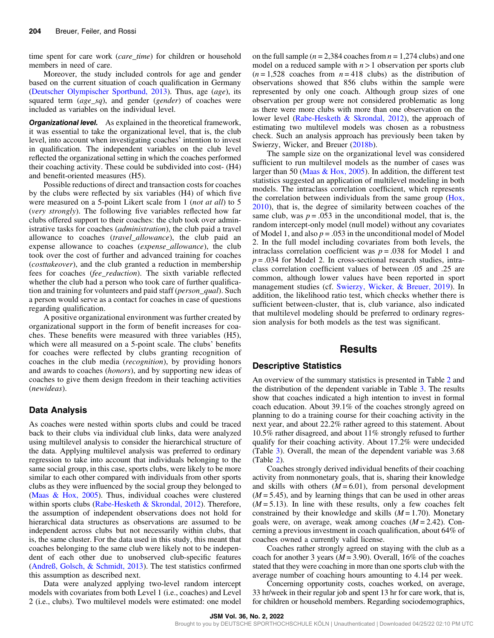time spent for care work (*care\_time*) for children or household members in need of care.

Moreover, the study included controls for age and gender based on the current situation of coach qualification in Germany [\(Deutscher Olympischer Sportbund, 2013](#page-9-0)). Thus, age (age), its squared term  $(age_sq)$ , and gender (gender) of coaches were included as variables on the individual level.

**Organizational level.** As explained in the theoretical framework, it was essential to take the organizational level, that is, the club level, into account when investigating coaches' intention to invest in qualification. The independent variables on the club level reflected the organizational setting in which the coaches performed their coaching activity. These could be subdivided into cost- (H4) and benefit-oriented measures (H5).

Possible reductions of direct and transaction costs for coaches by the clubs were reflected by six variables (H4) of which five were measured on a 5-point Likert scale from 1 *(not at all)* to 5 (very strongly). The following five variables reflected how far clubs offered support to their coaches: the club took over administrative tasks for coaches (administration), the club paid a travel allowance to coaches (travel allowance), the club paid an expense allowance to coaches (expense\_allowance), the club took over the cost of further and advanced training for coaches (costtakeover), and the club granted a reduction in membership fees for coaches (fee\_reduction). The sixth variable reflected whether the club had a person who took care of further qualification and training for volunteers and paid staff (person\_qual). Such a person would serve as a contact for coaches in case of questions regarding qualification.

A positive organizational environment was further created by organizational support in the form of benefit increases for coaches. These benefits were measured with three variables (H5), which were all measured on a 5-point scale. The clubs' benefits for coaches were reflected by clubs granting recognition of coaches in the club media (recognition), by providing honors and awards to coaches (honors), and by supporting new ideas of coaches to give them design freedom in their teaching activities (newideas).

#### Data Analysis

As coaches were nested within sports clubs and could be traced back to their clubs via individual club links, data were analyzed using multilevel analysis to consider the hierarchical structure of the data. Applying multilevel analysis was preferred to ordinary regression to take into account that individuals belonging to the same social group, in this case, sports clubs, were likely to be more similar to each other compared with individuals from other sports clubs as they were influenced by the social group they belonged to [\(Maas & Hox, 2005\)](#page-10-0). Thus, individual coaches were clustered within sports clubs ([Rabe-Hesketh & Skrondal, 2012\)](#page-10-0). Therefore, the assumption of independent observations does not hold for hierarchical data structures as observations are assumed to be independent across clubs but not necessarily within clubs, that is, the same cluster. For the data used in this study, this meant that coaches belonging to the same club were likely not to be independent of each other due to unobserved club-specific features [\(Andreß, Golsch, & Schmidt, 2013\)](#page-9-0). The test statistics confirmed this assumption as described next.

Data were analyzed applying two-level random intercept models with covariates from both Level 1 (i.e., coaches) and Level 2 (i.e., clubs). Two multilevel models were estimated: one model on the full sample ( $n = 2,384$  coaches from  $n = 1,274$  clubs) and one model on a reduced sample with  $n > 1$  observation per sports club  $(n=1,528)$  coaches from  $n=418$  clubs) as the distribution of observations showed that 856 clubs within the sample were represented by only one coach. Although group sizes of one observation per group were not considered problematic as long as there were more clubs with more than one observation on the lower level [\(Rabe-Hesketh & Skrondal, 2012](#page-10-0)), the approach of estimating two multilevel models was chosen as a robustness check. Such an analysis approach has previously been taken by Swierzy, Wicker, and Breuer [\(2018b](#page-10-0)).

The sample size on the organizational level was considered sufficient to run multilevel models as the number of cases was larger than 50 ([Maas & Hox, 2005](#page-10-0)). In addition, the different test statistics suggested an application of multilevel modeling in both models. The intraclass correlation coefficient, which represents the correlation between individuals from the same group [\(Hox,](#page-9-0) [2010](#page-9-0)), that is, the degree of similarity between coaches of the same club, was  $p = .053$  in the unconditional model, that is, the random intercept-only model (null model) without any covariates of Model 1, and also  $p = 0.053$  in the unconditional model of Model 2. In the full model including covariates from both levels, the intraclass correlation coefficient was  $p = .038$  for Model 1 and  $p = 0.034$  for Model 2. In cross-sectional research studies, intraclass correlation coefficient values of between .05 and .25 are common, although lower values have been reported in sport management studies (cf. [Swierzy, Wicker, & Breuer, 2019](#page-10-0)). In addition, the likelihood ratio test, which checks whether there is sufficient between-cluster, that is, club variance, also indicated that multilevel modeling should be preferred to ordinary regression analysis for both models as the test was significant.

## Results

#### Descriptive Statistics

An overview of the summary statistics is presented in Table [2](#page-4-0) and the distribution of the dependent variable in Table [3.](#page-6-0) The results show that coaches indicated a high intention to invest in formal coach education. About 39.1% of the coaches strongly agreed on planning to do a training course for their coaching activity in the next year, and about 22.2% rather agreed to this statement. About 10.5% rather disagreed, and about 11% strongly refused to further qualify for their coaching activity. About 17.2% were undecided (Table [3](#page-6-0)). Overall, the mean of the dependent variable was 3.68 (Table [2](#page-4-0)).

Coaches strongly derived individual benefits of their coaching activity from nonmonetary goals, that is, sharing their knowledge and skills with others  $(M = 6.01)$ , from personal development  $(M = 5.45)$ , and by learning things that can be used in other areas  $(M = 5.13)$ . In line with these results, only a few coaches felt constrained by their knowledge and skills  $(M = 1.70)$ . Monetary goals were, on average, weak among coaches  $(M = 2.42)$ . Concerning a previous investment in coach qualification, about 64% of coaches owned a currently valid license.

Coaches rather strongly agreed on staying with the club as a coach for another 3 years ( $M = 3.90$ ). Overall, 16% of the coaches stated that they were coaching in more than one sports club with the average number of coaching hours amounting to 4.14 per week.

Concerning opportunity costs, coaches worked, on average, 33 hr/week in their regular job and spent 13 hr for care work, that is, for children or household members. Regarding sociodemographics,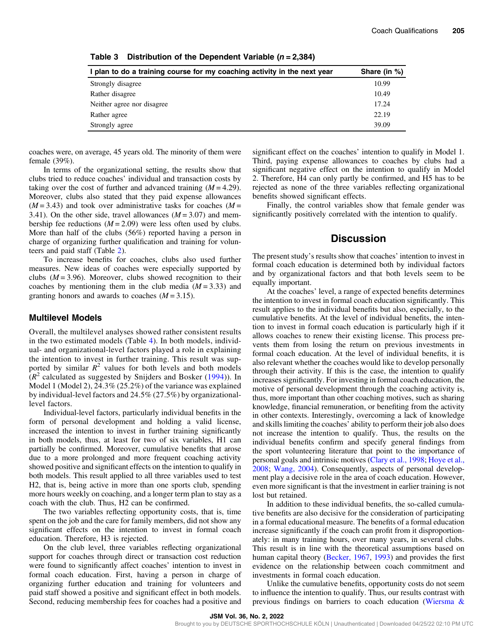| I plan to do a training course for my coaching activity in the next year | Share (in %) |  |  |
|--------------------------------------------------------------------------|--------------|--|--|
| Strongly disagree                                                        | 10.99        |  |  |
| Rather disagree                                                          | 10.49        |  |  |
| Neither agree nor disagree                                               | 17.24        |  |  |
| Rather agree                                                             | 22.19        |  |  |
| Strongly agree                                                           | 39.09        |  |  |

<span id="page-6-0"></span>Table 3 Distribution of the Dependent Variable  $(n = 2,384)$ 

coaches were, on average, 45 years old. The minority of them were female (39%).

In terms of the organizational setting, the results show that clubs tried to reduce coaches' individual and transaction costs by taking over the cost of further and advanced training  $(M = 4.29)$ . Moreover, clubs also stated that they paid expense allowances  $(M = 3.43)$  and took over administrative tasks for coaches  $(M =$ 3.41). On the other side, travel allowances  $(M = 3.07)$  and membership fee reductions  $(M = 2.09)$  were less often used by clubs. More than half of the clubs (56%) reported having a person in charge of organizing further qualification and training for volunteers and paid staff (Table [2\)](#page-4-0).

To increase benefits for coaches, clubs also used further measures. New ideas of coaches were especially supported by clubs  $(M = 3.96)$ . Moreover, clubs showed recognition to their coaches by mentioning them in the club media  $(M = 3.33)$  and granting honors and awards to coaches  $(M = 3.15)$ .

#### Multilevel Models

Overall, the multilevel analyses showed rather consistent results in the two estimated models (Table [4\)](#page-7-0). In both models, individual- and organizational-level factors played a role in explaining the intention to invest in further training. This result was supported by similar  $R^2$  values for both levels and both models  $(R^2$  calculated as suggested by Snijders and Bosker [\(1994\)](#page-10-0)). In Model 1 (Model 2), 24.3% (25.2%) of the variance was explained by individual-level factors and 24.5% (27.5%) by organizationallevel factors.

Individual-level factors, particularly individual benefits in the form of personal development and holding a valid license, increased the intention to invest in further training significantly in both models, thus, at least for two of six variables, H1 can partially be confirmed. Moreover, cumulative benefits that arose due to a more prolonged and more frequent coaching activity showed positive and significant effects on the intention to qualify in both models. This result applied to all three variables used to test H2, that is, being active in more than one sports club, spending more hours weekly on coaching, and a longer term plan to stay as a coach with the club. Thus, H2 can be confirmed.

The two variables reflecting opportunity costs, that is, time spent on the job and the care for family members, did not show any significant effects on the intention to invest in formal coach education. Therefore, H3 is rejected.

On the club level, three variables reflecting organizational support for coaches through direct or transaction cost reduction were found to significantly affect coaches' intention to invest in formal coach education. First, having a person in charge of organizing further education and training for volunteers and paid staff showed a positive and significant effect in both models. Second, reducing membership fees for coaches had a positive and significant effect on the coaches' intention to qualify in Model 1. Third, paying expense allowances to coaches by clubs had a significant negative effect on the intention to qualify in Model 2. Therefore, H4 can only partly be confirmed, and H5 has to be rejected as none of the three variables reflecting organizational benefits showed significant effects.

Finally, the control variables show that female gender was significantly positively correlated with the intention to qualify.

# **Discussion**

The present study's results show that coaches' intention to invest in formal coach education is determined both by individual factors and by organizational factors and that both levels seem to be equally important.

At the coaches' level, a range of expected benefits determines the intention to invest in formal coach education significantly. This result applies to the individual benefits but also, especially, to the cumulative benefits. At the level of individual benefits, the intention to invest in formal coach education is particularly high if it allows coaches to renew their existing license. This process prevents them from losing the return on previous investments in formal coach education. At the level of individual benefits, it is also relevant whether the coaches would like to develop personally through their activity. If this is the case, the intention to qualify increases significantly. For investing in formal coach education, the motive of personal development through the coaching activity is, thus, more important than other coaching motives, such as sharing knowledge, financial remuneration, or benefiting from the activity in other contexts. Interestingly, overcoming a lack of knowledge and skills limiting the coaches' ability to perform their job also does not increase the intention to qualify. Thus, the results on the individual benefits confirm and specify general findings from the sport volunteering literature that point to the importance of personal goals and intrinsic motives [\(Clary et al., 1998](#page-9-0); [Hoye et al.,](#page-9-0) [2008](#page-9-0); [Wang, 2004](#page-10-0)). Consequently, aspects of personal development play a decisive role in the area of coach education. However, even more significant is that the investment in earlier training is not lost but retained.

In addition to these individual benefits, the so-called cumulative benefits are also decisive for the consideration of participating in a formal educational measure. The benefits of a formal education increase significantly if the coach can profit from it disproportionately: in many training hours, over many years, in several clubs. This result is in line with the theoretical assumptions based on human capital theory ([Becker, 1967](#page-9-0), [1993\)](#page-9-0) and provides the first evidence on the relationship between coach commitment and investments in formal coach education.

Unlike the cumulative benefits, opportunity costs do not seem to influence the intention to qualify. Thus, our results contrast with previous findings on barriers to coach education ([Wiersma &](#page-10-0)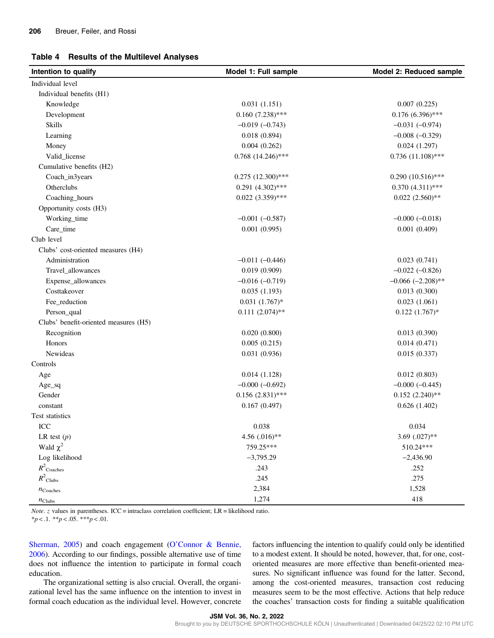#### <span id="page-7-0"></span>Table 4 Results of the Multilevel Analyses

| Intention to qualify                  | Model 1: Full sample   | Model 2: Reduced sample |  |  |
|---------------------------------------|------------------------|-------------------------|--|--|
| Individual level                      |                        |                         |  |  |
| Individual benefits (H1)              |                        |                         |  |  |
| Knowledge                             | 0.031(1.151)           | 0.007(0.225)            |  |  |
| Development                           | $0.160(7.238)$ ***     | $0.176(6.396)$ ***      |  |  |
| <b>Skills</b>                         | $-0.019(-0.743)$       | $-0.031 (-0.974)$       |  |  |
| Learning                              | 0.018(0.894)           | $-0.008 (-0.329)$       |  |  |
| Money                                 | 0.004(0.262)           | 0.024(1.297)            |  |  |
| Valid_license                         | $0.768$ $(14.246)$ *** | $0.736(11.108)$ ***     |  |  |
| Cumulative benefits (H2)              |                        |                         |  |  |
| Coach_in3years                        | $0.275$ $(12.300)$ *** | $0.290(10.516)$ ***     |  |  |
| Otherclubs                            | $0.291 (4.302)$ ***    | $0.370(4.311)$ ***      |  |  |
| Coaching_hours                        | $0.022(3.359)$ ***     | $0.022(2.560)$ **       |  |  |
| Opportunity costs (H3)                |                        |                         |  |  |
| Working_time                          | $-0.001 (-0.587)$      | $-0.000 (-0.018)$       |  |  |
| Care_time                             | 0.001(0.995)           | 0.001(0.409)            |  |  |
| Club level                            |                        |                         |  |  |
| Clubs' cost-oriented measures (H4)    |                        |                         |  |  |
| Administration                        | $-0.011 (-0.446)$      | 0.023(0.741)            |  |  |
| Travel_allowances                     | 0.019(0.909)           | $-0.022(-0.826)$        |  |  |
| Expense_allowances                    | $-0.016 (-0.719)$      | $-0.066$ $(-2.208)$ **  |  |  |
| Costtakeover                          | 0.035(1.193)           | 0.013(0.300)            |  |  |
| Fee_reduction                         | $0.031(1.767)*$        | 0.023(1.061)            |  |  |
| Person_qual                           | $0.111(2.074)$ **      | $0.122(1.767)$ *        |  |  |
| Clubs' benefit-oriented measures (H5) |                        |                         |  |  |
| Recognition                           | 0.020(0.800)           | 0.013(0.390)            |  |  |
| Honors                                | 0.005(0.215)           | 0.014(0.471)            |  |  |
| Newideas                              | 0.031(0.936)           | 0.015(0.337)            |  |  |
| Controls                              |                        |                         |  |  |
| Age                                   | 0.014(1.128)           | 0.012(0.803)            |  |  |
| $Age\_sq$                             | $-0.000 (-0.692)$      | $-0.000 (-0.445)$       |  |  |
| Gender                                | $0.156(2.831)$ ***     | $0.152(2.240)$ **       |  |  |
| constant                              | 0.167(0.497)           | 0.626(1.402)            |  |  |
| Test statistics                       |                        |                         |  |  |
| ICC                                   | 0.038                  | 0.034                   |  |  |
| LR test $(p)$                         | 4.56 (.016)**          | 3.69 $(.027)**$         |  |  |
| Wald $\chi^2$                         | 759.25***              | 510.24***               |  |  |
| Log likelihood                        | $-3,795.29$            | $-2,436.90$             |  |  |
| $R^2$ Coaches                         | .243                   | .252                    |  |  |
| $R^2$ Clubs                           | .245                   | .275                    |  |  |
| $n_{\text{Coaches}}$                  | 2,384                  | 1,528                   |  |  |
| $n_{\text{Clubs}}$                    | 1,274                  | 418                     |  |  |

*Note.* z values in parentheses. ICC = intraclass correlation coefficient;  $LR$  = likelihood ratio.

 $**p* < .1. ***p* < .05. ****p* < .01.$ 

[Sherman, 2005\)](#page-10-0) and coach engagement (O'[Connor & Bennie,](#page-10-0) [2006](#page-10-0)). According to our findings, possible alternative use of time does not influence the intention to participate in formal coach education.

The organizational setting is also crucial. Overall, the organizational level has the same influence on the intention to invest in formal coach education as the individual level. However, concrete factors influencing the intention to qualify could only be identified to a modest extent. It should be noted, however, that, for one, costoriented measures are more effective than benefit-oriented measures. No significant influence was found for the latter. Second, among the cost-oriented measures, transaction cost reducing measures seem to be the most effective. Actions that help reduce the coaches' transaction costs for finding a suitable qualification

JSM Vol. 36, No. 2, 2022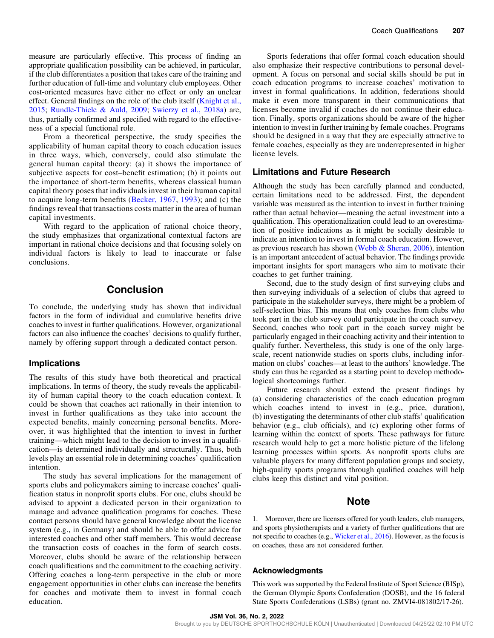<span id="page-8-0"></span>measure are particularly effective. This process of finding an appropriate qualification possibility can be achieved, in particular, if the club differentiates a position that takes care of the training and further education of full-time and voluntary club employees. Other cost-oriented measures have either no effect or only an unclear effect. General findings on the role of the club itself [\(Knight et al.,](#page-9-0) [2015](#page-9-0); [Rundle-Thiele & Auld, 2009](#page-10-0); [Swierzy et al., 2018a](#page-10-0)) are, thus, partially confirmed and specified with regard to the effectiveness of a special functional role.

From a theoretical perspective, the study specifies the applicability of human capital theory to coach education issues in three ways, which, conversely, could also stimulate the general human capital theory: (a) it shows the importance of subjective aspects for cost–benefit estimation; (b) it points out the importance of short-term benefits, whereas classical human capital theory poses that individuals invest in their human capital to acquire long-term benefits ([Becker, 1967](#page-9-0), [1993\)](#page-9-0); and (c) the findings reveal that transactions costs matter in the area of human capital investments.

With regard to the application of rational choice theory, the study emphasizes that organizational contextual factors are important in rational choice decisions and that focusing solely on individual factors is likely to lead to inaccurate or false conclusions.

# Conclusion

To conclude, the underlying study has shown that individual factors in the form of individual and cumulative benefits drive coaches to invest in further qualifications. However, organizational factors can also influence the coaches' decisions to qualify further, namely by offering support through a dedicated contact person.

#### Implications

The results of this study have both theoretical and practical implications. In terms of theory, the study reveals the applicability of human capital theory to the coach education context. It could be shown that coaches act rationally in their intention to invest in further qualifications as they take into account the expected benefits, mainly concerning personal benefits. Moreover, it was highlighted that the intention to invest in further training—which might lead to the decision to invest in a qualification—is determined individually and structurally. Thus, both levels play an essential role in determining coaches' qualification intention.

The study has several implications for the management of sports clubs and policymakers aiming to increase coaches' qualification status in nonprofit sports clubs. For one, clubs should be advised to appoint a dedicated person in their organization to manage and advance qualification programs for coaches. These contact persons should have general knowledge about the license system (e.g., in Germany) and should be able to offer advice for interested coaches and other staff members. This would decrease the transaction costs of coaches in the form of search costs. Moreover, clubs should be aware of the relationship between coach qualifications and the commitment to the coaching activity. Offering coaches a long-term perspective in the club or more engagement opportunities in other clubs can increase the benefits for coaches and motivate them to invest in formal coach education.

Sports federations that offer formal coach education should also emphasize their respective contributions to personal development. A focus on personal and social skills should be put in coach education programs to increase coaches' motivation to invest in formal qualifications. In addition, federations should make it even more transparent in their communications that licenses become invalid if coaches do not continue their education. Finally, sports organizations should be aware of the higher intention to invest in further training by female coaches. Programs should be designed in a way that they are especially attractive to female coaches, especially as they are underrepresented in higher license levels.

## Limitations and Future Research

Although the study has been carefully planned and conducted, certain limitations need to be addressed. First, the dependent variable was measured as the intention to invest in further training rather than actual behavior—meaning the actual investment into a qualification. This operationalization could lead to an overestimation of positive indications as it might be socially desirable to indicate an intention to invest in formal coach education. However, as previous research has shown [\(Webb & Sheran, 2006\)](#page-10-0), intention is an important antecedent of actual behavior. The findings provide important insights for sport managers who aim to motivate their coaches to get further training.

Second, due to the study design of first surveying clubs and then surveying individuals of a selection of clubs that agreed to participate in the stakeholder surveys, there might be a problem of self-selection bias. This means that only coaches from clubs who took part in the club survey could participate in the coach survey. Second, coaches who took part in the coach survey might be particularly engaged in their coaching activity and their intention to qualify further. Nevertheless, this study is one of the only largescale, recent nationwide studies on sports clubs, including information on clubs' coaches—at least to the authors' knowledge. The study can thus be regarded as a starting point to develop methodological shortcomings further.

Future research should extend the present findings by (a) considering characteristics of the coach education program which coaches intend to invest in (e.g., price, duration), (b) investigating the determinants of other club staffs' qualification behavior (e.g., club officials), and (c) exploring other forms of learning within the context of sports. These pathways for future research would help to get a more holistic picture of the lifelong learning processes within sports. As nonprofit sports clubs are valuable players for many different population groups and society, high-quality sports programs through qualified coaches will help clubs keep this distinct and vital position.

# Note

1. Moreover, there are licenses offered for youth leaders, club managers, and sports physiotherapists and a variety of further qualifications that are not specific to coaches (e.g., [Wicker et al., 2016](#page-10-0)). However, as the focus is on coaches, these are not considered further.

#### Acknowledgments

This work was supported by the Federal Institute of Sport Science (BISp), the German Olympic Sports Confederation (DOSB), and the 16 federal State Sports Confederations (LSBs) (grant no. ZMVI4-081802/17-26).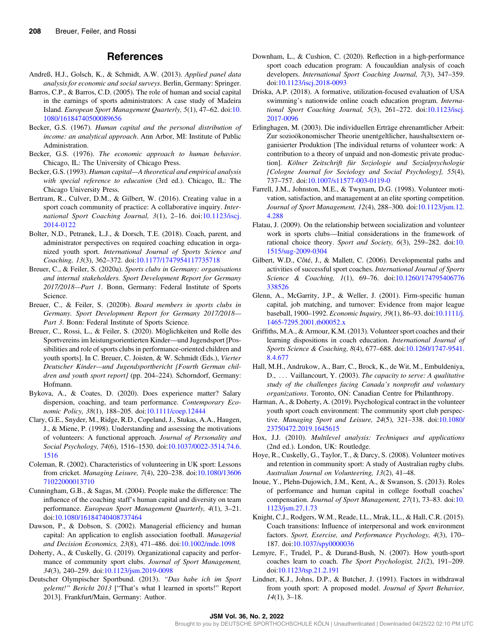## References

- <span id="page-9-0"></span>Andreß, H.J., Golsch, K., & Schmidt, A.W. (2013). Applied panel data analysis for economic and social surveys. Berlin, Germany: Springer.
- Barros, C.P., & Barros, C.D. (2005). The role of human and social capital in the earnings of sports administrators: A case study of Madeira Island. European Sport Management Quarterly, 5(1), 47–62. doi:[10.](https://doi.org/10.1080/16184740500089656) [1080/16184740500089656](https://doi.org/10.1080/16184740500089656)
- Becker, G.S. (1967). Human capital and the personal distribution of income: an analytical approach. Ann Arbor, MI: Institute of Public Administration.
- Becker, G.S. (1976). The economic approach to human behavior. Chicago, IL: The University of Chicago Press.
- Becker, G.S. (1993). Human capital—A theoretical and empirical analysis with special reference to education (3rd ed.). Chicago, IL: The Chicago University Press.
- Bertram, R., Culver, D.M., & Gilbert, W. (2016). Creating value in a sport coach community of practice: A collaborative inquiry. International Sport Coaching Journal, 3(1), 2–16. doi[:10.1123/iscj.](https://doi.org/10.1123/iscj.2014-0122) [2014-0122](https://doi.org/10.1123/iscj.2014-0122)
- Bolter, N.D., Petranek, L.J., & Dorsch, T.E. (2018). Coach, parent, and administrator perspectives on required coaching education in organized youth sport. International Journal of Sports Science and Coaching, 13(3), 362–372. doi[:10.1177/1747954117735718](https://doi.org/10.1177/1747954117735718)
- Breuer, C., & Feiler, S. (2020a). Sports clubs in Germany: organisations and internal stakeholders. Sport Development Report for Germany 2017/2018—Part 1. Bonn, Germany: Federal Institute of Sports Science.
- Breuer, C., & Feiler, S. (2020b). Board members in sports clubs in Germany. Sport Development Report for Germany 2017/2018— Part 3. Bonn: Federal Institute of Sports Science.
- Breuer, C., Rossi, L., & Feiler, S. (2020). Möglichkeiten und Rolle des Sportvereins im leistungsorientierten Kinder—und Jugendsport [Possibilities and role of sports clubs in performance-oriented children and youth sports]. In C. Breuer, C. Joisten, & W. Schmidt (Eds.), Vierter Deutscher Kinder—und Jugendsportbericht [Fourth German children and youth sport report] (pp. 204–224). Schorndorf, Germany: Hofmann.
- Bykova, A., & Coates, D. (2020). Does experience matter? Salary dispersion, coaching, and team performance. Contemporary Economic Policy, 38(1), 188–205. doi:[10.1111/coep.12444](https://doi.org/10.1111/coep.12444)
- Clary, G.E., Snyder, M., Ridge, R.D., Copeland, J., Stukas, A.A., Haugen, J., & Miene, P. (1998). Understanding and assessing the motivations of volunteers: A functional approach. Journal of Personality and Social Psychology, 74(6), 1516–1530. doi[:10.1037/0022-3514.74.6.](https://doi.org/10.1037/0022-3514.74.6.1516) [1516](https://doi.org/10.1037/0022-3514.74.6.1516)
- Coleman, R. (2002). Characteristics of volunteering in UK sport: Lessons from cricket. Managing Leisure, 7(4), 220–238. doi:[10.1080/13606](https://doi.org/10.1080/1360671022000013710) [71022000013710](https://doi.org/10.1080/1360671022000013710)
- Cunningham, G.B., & Sagas, M. (2004). People make the difference: The influence of the coaching staff's human capital and diversity on team performance. European Sport Management Quarterly, 4(1), 3-21. doi:[10.1080/16184740408737464](https://doi.org/10.1080/16184740408737464)
- Dawson, P., & Dobson, S. (2002). Managerial efficiency and human capital: An application to english association football. Managerial and Decision Economics, 23(8), 471–486. doi[:10.1002/mde.1098](https://doi.org/10.1002/mde.1098)
- Doherty, A., & Cuskelly, G. (2019). Organizational capacity and performance of community sport clubs. Journal of Sport Management, 34(3), 240–259. doi[:10.1123/jsm.2019-0098](https://doi.org/10.1123/jsm.2019-0098)
- Deutscher Olympischer Sportbund. (2013). "Das habe ich im Sport gelernt!" Bericht 2013 ["That's what I learned in sports!" Report 2013]. Frankfurt/Main, Germany: Author.
- Downham, L., & Cushion, C. (2020). Reflection in a high-performance sport coach education program: A foucauldian analysis of coach developers. International Sport Coaching Journal, 7(3), 347–359. doi:[10.1123/iscj.2018-0093](https://doi.org/10.1123/iscj.2018-0093)
- Driska, A.P. (2018). A formative, utilization-focused evaluation of USA swimming's nationwide online coach education program. International Sport Coaching Journal, 5(3), 261–272. doi:[10.1123/iscj.](https://doi.org/10.1123/iscj.2017-0096) [2017-0096](https://doi.org/10.1123/iscj.2017-0096)
- Erlinghagen, M. (2003). Die individuellen Erträge ehrenamtlicher Arbeit: Zur sozioökonomischer Theorie unentgeltlicher, haushaltsextern organisierter Produktion [The individual returns of volunteer work: A contribution to a theory of unpaid and non-domestic private production]. Kölner Zeitschrift für Soziologie und Sozialpsychologie [Cologne Journal for Sociology and Social Psychology], 55(4), 737–757. doi[:10.1007/s11577-003-0119-0](https://doi.org/10.1007/s11577-003-0119-0)
- Farrell, J.M., Johnston, M.E., & Twynam, D.G. (1998). Volunteer motivation, satisfaction, and management at an elite sporting competition. Journal of Sport Management, 12(4), 288–300. doi[:10.1123/jsm.12.](https://doi.org/10.1123/jsm.12.4.288) [4.288](https://doi.org/10.1123/jsm.12.4.288)
- Flatau, J. (2009). On the relationship between socialization and volunteer work in sports clubs—Initial considerations in the framework of rational choice theory. Sport and Society, 6(3), 259–282. doi:[10.](https://doi.org/10.1515/sug-2009-0304) [1515/sug-2009-0304](https://doi.org/10.1515/sug-2009-0304)
- Gilbert, W.D., Côté, J., & Mallett, C. (2006). Developmental paths and activities of successful sport coaches. International Journal of Sports Science & Coaching, 1(1), 69–76. doi[:10.1260/174795406776](https://doi.org/10.1260/174795406776338526) [338526](https://doi.org/10.1260/174795406776338526)
- Glenn, A., McGarrity, J.P., & Weller, J. (2001). Firm-specific human capital, job matching, and turnover: Evidence from major league baseball, 1900–1992. Economic Inquiry, 39(1), 86–93. doi:[10.1111/j.](https://doi.org/10.1111/j.1465-7295.2001.tb00052.x) [1465-7295.2001.tb00052.x](https://doi.org/10.1111/j.1465-7295.2001.tb00052.x)
- Griffiths, M.A., & Armour, K.M. (2013). Volunteer sport coaches and their learning dispositions in coach education. International Journal of Sports Science & Coaching, 8(4), 677–688. doi[:10.1260/1747-9541.](https://doi.org/10.1260/1747-9541.8.4.677) [8.4.677](https://doi.org/10.1260/1747-9541.8.4.677)
- Hall, M.H., Andrukow, A., Barr, C., Brock, K., de Wit, M., Embuldeniya, D., ... Vaillancourt, Y. (2003). The capacity to serve: A qualitative study of the challenges facing Canada's nonprofit and voluntary organizations. Toronto, ON: Canadian Centre for Philanthropy.
- Harman, A., & Doherty, A. (2019). Psychological contract in the volunteer youth sport coach environment: The community sport club perspective. Managing Sport and Leisure, 24(5), 321–338. doi[:10.1080/](https://doi.org/10.1080/23750472.2019.1645615) [23750472.2019.1645615](https://doi.org/10.1080/23750472.2019.1645615)
- Hox, J.J. (2010). Multilevel analysis: Techniques and applications (2nd ed.). London, UK: Routledge.
- Hoye, R., Cuskelly, G., Taylor, T., & Darcy, S. (2008). Volunteer motives and retention in community sport: A study of Australian rugby clubs. Australian Journal on Volunteering, 13(2), 41–48.
- Inoue, Y., Plehn-Dujowich, J.M., Kent, A., & Swanson, S. (2013). Roles of performance and human capital in college football coaches' compensation. Journal of Sport Management, 27(1), 73–83. doi:[10.](https://doi.org/10.1123/jsm.27.1.73) [1123/jsm.27.1.73](https://doi.org/10.1123/jsm.27.1.73)
- Knight, C.J., Rodgers, W.M., Reade, I.L., Mrak, I.L., & Hall, C.R. (2015). Coach transitions: Influence of interpersonal and work environment factors. Sport, Exercise, and Performance Psychology, 4(3), 170– 187. doi:[10.1037/spy0000036](https://doi.org/10.1037/spy0000036)
- Lemyre, F., Trudel, P., & Durand-Bush, N. (2007). How youth-sport coaches learn to coach. The Sport Psychologist, 21(2), 191–209. doi:[10.1123/tsp.21.2.191](https://doi.org/10.1123/tsp.21.2.191)
- Lindner, K.J., Johns, D.P., & Butcher, J. (1991). Factors in withdrawal from youth sport: A proposed model. Journal of Sport Behavior,  $14(1)$ , 3-18.